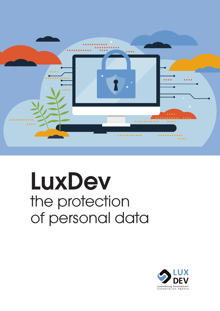

# LuxDev the protection of personal data

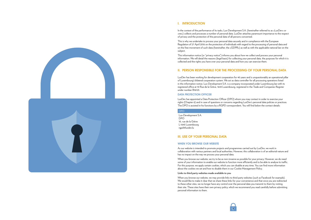



# I. INTRODUCTION

In the context of the performance of its tasks, Lux-Development S.A. (hereinafter referred to as «LuxDev» or «we») collects and processes a number of personal data. LuxDev attaches paramount importance to the respect of privacy and the protection of the personal data of all persons concerned.

This is why we undertake to process your personal data securely and in compliance with the European Regulation of 27 April 2016 on the protection of individuals with regard to the processing of personal data and on the free movement of such data (hereinafter, the «GDPR») as well as with the applicable national law on the subject.

This information notice (or "privacy notice") informs you about how we collect and process your personal information. We will detail the reasons (legal basis) for collecting your personal data, the purposes for which it is collected and the rights you have over your personal data and how you can exercise them.

# II. PERSON RESPONSIBLE FOR THE PROCESSING OF YOUR PERSONAL DATA

LuxDev has been working for development cooperation for 40 years and is unquestionably an operational pillar of Luxembourg's bilateral cooperation system. We act as data controller for all processing operations listed in this information notice. Lux-Development S.A. is a company incorporated under Luxembourg law with its registered office at 10 Rue de la Grève, 1643 Luxembourg, registered in the Trade and Companies Register under number B16123.

## DATA PROTECTION OFFICER

LuxDev has appointed a Data Protection Officer (DPO) whom you may contact in order to exercise your rights (Chapter 6) and in case of questions or concerns regarding LuxDev's personal data policies or practices. The DPO is assisted in his functions by a RGPD correspondent, You will find below the contact details:

#### DPO

Lux-Development S.A. DPO 10, rue de la Grève L-1643 Luxembourg [rgpd@luxdev.lu](mailto:rgpd%40luxdev.lu?subject=)

## III. USE OF YOUR PERSONAL DATA

## WHEN YOU BROWSE OUR WEBSITE

As our website is intended to promote projects and programmes carried out by LuxDev, we work in collaboration with various partners and local authorities. However, this collaboration is of an editorial nature and has no impact on the way we process your personal data.

When you browse our website, we try to be as non-invasive as possible for your privacy. However, we do need some of your information to enable our website to function more efficiently and to be able to analyse its traffic. For this purpose, we apply certain cookies, which you can disable at any time. You can find more information about the cookies we set and how to disable them in our Cookie Management Policy.

## **Links to third party websites made available to you**

When you browse our website, we may provide links to third party websites (such as Facebook for example). We would like to make it clear that we share these links for your convenience and that once you are redirected to these other sites, we no longer have any control over the personal data you transmit to them by visiting their site. These sites have their own privacy policy, which we recommend you read carefully before submitting personal information to them.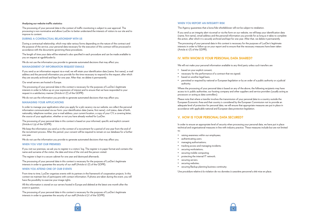

#### **Analysing our website traffic statistics**

The processing of your personal data in the context of traffic monitoring is subject to user approval. The processing is non-nominative and allows LuxDev to better understand the interests of visitors to our site and to improve its content.

## DURING A CONTRACTUAL RELATIONSHIP WITH US

During a contractual relationship, which may take various forms depending on the nature of the contract and the purpose of the service, your personal data necessary for the execution of this contract will be processed in accordance with the documents governing these procedures.

The length of time your data will be retained is also specified in each procedure and can be made available to you on request at rgpd@luxdev.lu

We do not use the information you provide to generate automated decisions that may affect you.

## MANAGEMENT OF INFORMATION REQUEST EMAILS

If you send us an information request via e-mail, we will retain your identification data (name, first name), e-mail address and the personal information you provide for the time necessary to respond to the request, after which they are securely archived and kept for one year. After that, we delete it permanently.

Our email servers are hosted in Europe.

The processing of your personal data in this context is necessary for the purposes of LuxDev's legitimate interests in order to follow up on your expression of interest and to ensure that we have responded to your request in a satisfactory manner (Article 6.1 (f) of the GDPR).

We do not use the information you provide to generate automated decisions that may affect you.

## MANAGING YOUR APPLICATIONS

The processing of your personal data in this context is necessary for the purposes of LuxDev's legitimate interests in order to quarantee the security of our staff (Article 6.1).f. of the GDPR)

In order to manage your applications when you apply for a job vacancy via our website, we collect the personal information communicated via our form: your identification data (name, first name), civil status, date of birth, nationality, telephone number, your e-mail address, your current location, a copy of your CV, a covering letter, the source of your application, whether or not you have already worked for LuxDev.

The processing of your personal data in this context is based on your informed, specific and explicit consent (Article 6.1 (a) of the GDPR).

We keep the information you send us in the context of a recruitment for a period of one year from the end of the recruitment process. After this period, your consent will be required to remain on our database for a further one year.

We do not use the information you provide to generate automated decisions that may affect you.

## WHEN YOU VISIT OUR PREMISES

If you visit our premises, we ask you to register in a visitors' log. The register is in paper format and contains the name and surname of the visitor, the date and time of the visit and the person visited.

The register is kept in a secure cabinet for one year and destroyed afterwards.

The processing of your personal data in this context is necessary for the purposes of LuxDev's legitimate interests in order to guarantee the security of our staff (Article 6.1 (f) of the GDPR).

## WHEN YOU ATTEND ONE OF OUR EVENTS

From time to time, LuxDev organises events with its partners in the framework of cooperation projects. In this context we maintain lists of participants with contact information. If photos are taken during the event, you will have the possibility to exercise your image rights.

All this information is stored on our servers hosted in Europe and deleted at the latest one month after the event in question.

## WHEN YOU REPORT AN INTEGRITY RISK

The Agency guarantees that a bona fide whistleblower will not be subject to retaliation.

If you send us an integrity alert via email or via the form on our website, we will keep your identification data (name, first name), email address and the personal information you provide for as long as it takes to complete the action, after which it is securely archived and kept for one year. After that, we delete it permanently.

The processing of your personal data in this context is necessary for the purposes of LuxDev's legitimate interests in order to follow up on your report and to ensure that the necessary measures have been taken (Article 6.1 (f) of the GDPR).

# IV. WITH WHOM IS YOUR PERSONAL DATA SHARED?

We will not make your personal information available to any third party unless such transfers are

- based on your explicit consent;
- necessary for the performance of a contract that we signed;
- based on another legal basis;
- permitted or required by national or European legislation or by an order of a public authority or a judicial authority.

Where the processing of your personal data is based on any of the above, the following recipients may have access to it: public authorities, our hosting company and other suppliers and service providers (usually acting as processors or acting as data controllers).

Please note that where a transfer involves the transmission of your personal data to a country outside the European Economic Area and that country is considered by the European Commission not to provide an adequate level of protection for personal data, we will ensure that appropriate measures are put in place in accordance with applicable national and European data protection legislation.

# V. HOW IS YOUR PERSONAL DATA SECURED?

In order to ensure an appropriate level of security when processing your personal data, we have put in place technical and organisational measures in line with industry practice. These measures include but are not limited to:

- raising awareness within our employees;
- authenticating users;
- managing authorisations;
- tracking access and managing incidents;
- securing workstations;
- securing mobile computing;
- protecting the internal IT network;
- securing servers;
- securing websites;
- securing Backup planning business continuity;

Une procédure relative à la violation de vos données à caractère personnel a été mise en place.

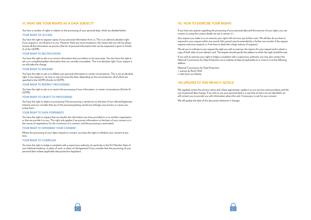

## VI. WHAT ARE YOUR RIGHTS AS A DATA SUBJECT?

You have a number of rights in relation to the processing of your personal data, which are detailed below:

## YOUR RIGHT OF ACCESS

You have the right to request copies of your personal information from us. This is an (almost) absolute right: if you request it, we will give it to you. However, there are some exceptions; this means that you will not always receive all the information we process (the list of personal information that can be requested is given in Article 15 of the GDPR).

## YOUR RIGHT TO RECTIFICATION

You have the right to ask us to correct information that you believe to be inaccurate. You also have the right to ask us to complete/update information that you consider incomplete. This is an absolute right: if you request it, we will make the change.

## YOUR RIGHT TO ERASURE

You have the right to ask us to delete your personal information in certain circumstances. This is not an absolute right: if you request it, we may or may not erase the data, depending on the circumstances, all of which are specified in the GDPR (Article 16 GDPR).

## YOUR RIGHT TO RESTRICT PROCESSING

You have the right to ask us to restrict the processing of your information, in certain circumstances (Article 18 GDPR).

## YOUR RIGHT TO OBJECT TO PROCESSING

You have the right to object to processing if the processing is carried out on the basis of our claimed legitimate interests and you consider that any of the processing being carried out infringes your privacy or causes you undue harm.

## YOUR RIGHT TO DATA PORTABILITY

You have the right to request that we transfer the information you have provided to us to another organisation, or that we provide it to you. This right only applies if we process information on the basis of your consent or in the course of negotiations for the conclusion of a contract, and the processing is automated.

## YOUR RIGHT TO WITHDRAW YOUR CONSENT

Where the processing of your data is based on consent, you have the right to withdraw your consent at any time.

## YOUR RIGHT TO COMPLAIN

You have the right to lodge a complaint with a supervisory authority (in particular in the EU Member State of your habitual residence, or place of work, or place of infringement) if you consider that the processing of your personal data violates applicable data protection legislation.

## VII. HOW TO EXERCISE YOUR RIGHTS

If you have any queries regarding the processing of your personal data and the exercise of your rights, you can contact us using the contact details set out in section 2.1.

Any request you make to us to exercise your rights will not incur any further costs. We will also do our best to respond to your request within one month (this period may be extended by a further two months if the request requires extensive research or if we have to deal with a large volume of requests).

We ask you to indicate in your request the right you wish to exercise, the reasons for your request and to attach a copy of both sides of your identity card. The request should specify the address to which the reply should be sent.

If you wish to exercise your right to lodge a complaint with a supervisory authority, you may also contact the National Commission for Data Protection via its website at<https://cnpd.public.lu>or write to it at the following address:

National Commission for Data Protection 1, avenue du Rock'n'Roll L-4361 Esch-sur-Alzette

## VIII.UPDATES TO THIS PRIVACY NOTICE

We regularly review this privacy notice and, where appropriate, update it as our services and procedures and the use of personal data change. If we wish to use your personal data in a way that we have not yet identified, we will contact you to provide you with information about this and, if necessary, to ask for your consent.

We will update the date of this document whenever it changes.